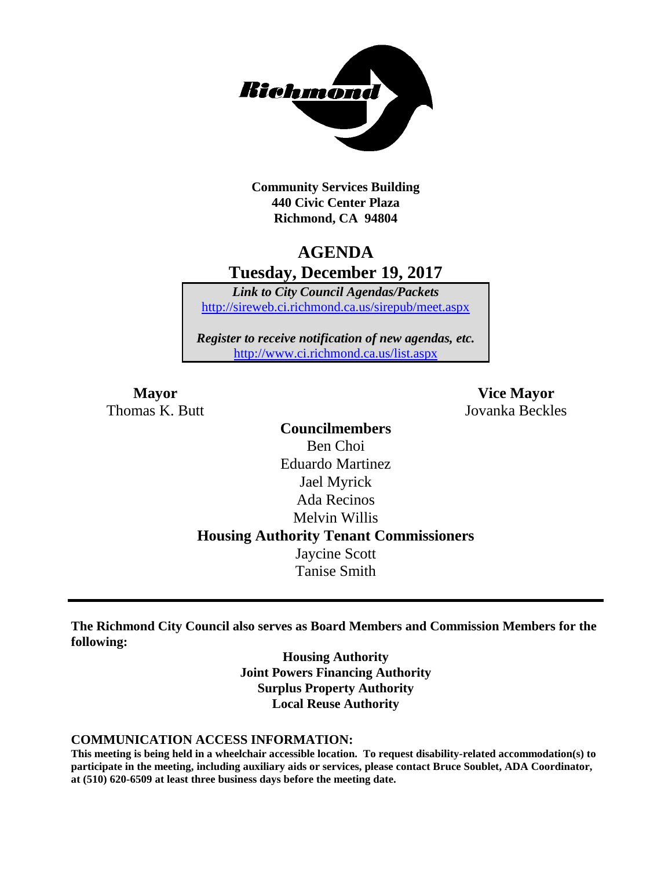

**Community Services Building 440 Civic Center Plaza Richmond, CA 94804**

## **AGENDA Tuesday, December 19, 2017**

*Link to City Council Agendas/Packets* <http://sireweb.ci.richmond.ca.us/sirepub/meet.aspx>

*Register to receive notification of new agendas, etc.* <http://www.ci.richmond.ca.us/list.aspx>

Thomas K. Butt Jovanka Beckles

**Mayor Vice Mayor**

**Councilmembers** Ben Choi Eduardo Martinez Jael Myrick Ada Recinos Melvin Willis **Housing Authority Tenant Commissioners** Jaycine Scott Tanise Smith

**The Richmond City Council also serves as Board Members and Commission Members for the following:**

> **Housing Authority Joint Powers Financing Authority Surplus Property Authority Local Reuse Authority**

#### **COMMUNICATION ACCESS INFORMATION:**

**This meeting is being held in a wheelchair accessible location. To request disability-related accommodation(s) to participate in the meeting, including auxiliary aids or services, please contact Bruce Soublet, ADA Coordinator, at (510) 620-6509 at least three business days before the meeting date.**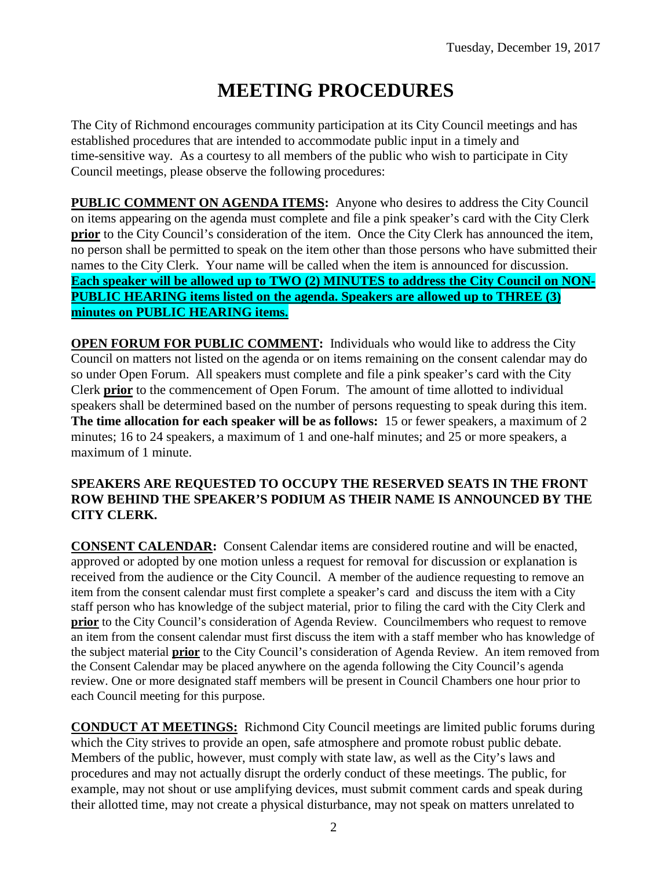# **MEETING PROCEDURES**

The City of Richmond encourages community participation at its City Council meetings and has established procedures that are intended to accommodate public input in a timely and time-sensitive way. As a courtesy to all members of the public who wish to participate in City Council meetings, please observe the following procedures:

**PUBLIC COMMENT ON AGENDA ITEMS:** Anyone who desires to address the City Council on items appearing on the agenda must complete and file a pink speaker's card with the City Clerk **prior** to the City Council's consideration of the item. Once the City Clerk has announced the item, no person shall be permitted to speak on the item other than those persons who have submitted their names to the City Clerk. Your name will be called when the item is announced for discussion. **Each speaker will be allowed up to TWO (2) MINUTES to address the City Council on NON-PUBLIC HEARING items listed on the agenda. Speakers are allowed up to THREE (3) minutes on PUBLIC HEARING items.**

**OPEN FORUM FOR PUBLIC COMMENT:** Individuals who would like to address the City Council on matters not listed on the agenda or on items remaining on the consent calendar may do so under Open Forum. All speakers must complete and file a pink speaker's card with the City Clerk **prior** to the commencement of Open Forum. The amount of time allotted to individual speakers shall be determined based on the number of persons requesting to speak during this item. **The time allocation for each speaker will be as follows:** 15 or fewer speakers, a maximum of 2 minutes; 16 to 24 speakers, a maximum of 1 and one-half minutes; and 25 or more speakers, a maximum of 1 minute.

#### **SPEAKERS ARE REQUESTED TO OCCUPY THE RESERVED SEATS IN THE FRONT ROW BEHIND THE SPEAKER'S PODIUM AS THEIR NAME IS ANNOUNCED BY THE CITY CLERK.**

**CONSENT CALENDAR:** Consent Calendar items are considered routine and will be enacted, approved or adopted by one motion unless a request for removal for discussion or explanation is received from the audience or the City Council. A member of the audience requesting to remove an item from the consent calendar must first complete a speaker's card and discuss the item with a City staff person who has knowledge of the subject material, prior to filing the card with the City Clerk and **prior** to the City Council's consideration of Agenda Review. Councilmembers who request to remove an item from the consent calendar must first discuss the item with a staff member who has knowledge of the subject material **prior** to the City Council's consideration of Agenda Review. An item removed from the Consent Calendar may be placed anywhere on the agenda following the City Council's agenda review. One or more designated staff members will be present in Council Chambers one hour prior to each Council meeting for this purpose.

**CONDUCT AT MEETINGS:** Richmond City Council meetings are limited public forums during which the City strives to provide an open, safe atmosphere and promote robust public debate. Members of the public, however, must comply with state law, as well as the City's laws and procedures and may not actually disrupt the orderly conduct of these meetings. The public, for example, may not shout or use amplifying devices, must submit comment cards and speak during their allotted time, may not create a physical disturbance, may not speak on matters unrelated to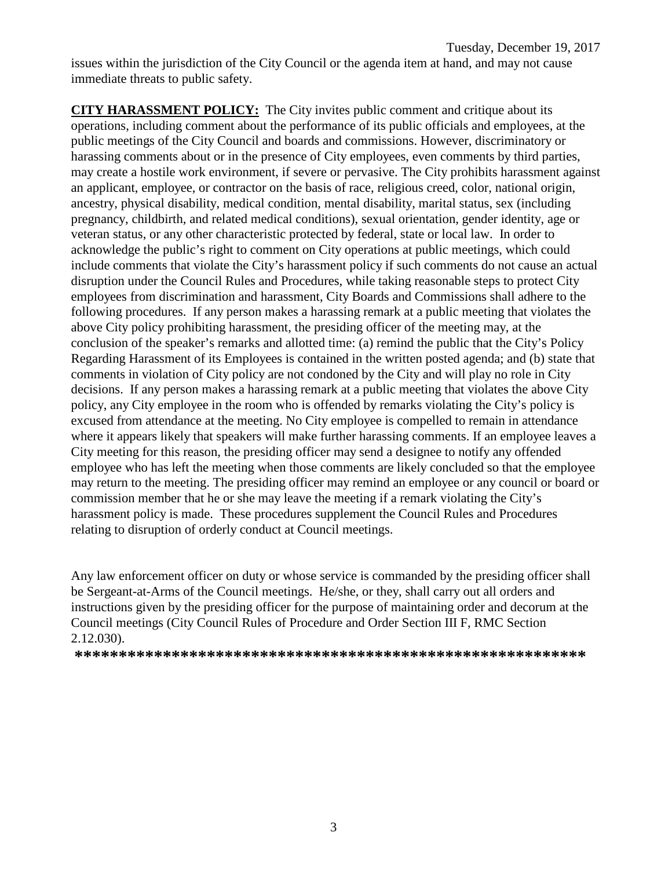issues within the jurisdiction of the City Council or the agenda item at hand, and may not cause immediate threats to public safety.

**CITY HARASSMENT POLICY:** The City invites public comment and critique about its operations, including comment about the performance of its public officials and employees, at the public meetings of the City Council and boards and commissions. However, discriminatory or harassing comments about or in the presence of City employees, even comments by third parties, may create a hostile work environment, if severe or pervasive. The City prohibits harassment against an applicant, employee, or contractor on the basis of race, religious creed, color, national origin, ancestry, physical disability, medical condition, mental disability, marital status, sex (including pregnancy, childbirth, and related medical conditions), sexual orientation, gender identity, age or veteran status, or any other characteristic protected by federal, state or local law. In order to acknowledge the public's right to comment on City operations at public meetings, which could include comments that violate the City's harassment policy if such comments do not cause an actual disruption under the Council Rules and Procedures, while taking reasonable steps to protect City employees from discrimination and harassment, City Boards and Commissions shall adhere to the following procedures. If any person makes a harassing remark at a public meeting that violates the above City policy prohibiting harassment, the presiding officer of the meeting may, at the conclusion of the speaker's remarks and allotted time: (a) remind the public that the City's Policy Regarding Harassment of its Employees is contained in the written posted agenda; and (b) state that comments in violation of City policy are not condoned by the City and will play no role in City decisions. If any person makes a harassing remark at a public meeting that violates the above City policy, any City employee in the room who is offended by remarks violating the City's policy is excused from attendance at the meeting. No City employee is compelled to remain in attendance where it appears likely that speakers will make further harassing comments. If an employee leaves a City meeting for this reason, the presiding officer may send a designee to notify any offended employee who has left the meeting when those comments are likely concluded so that the employee may return to the meeting. The presiding officer may remind an employee or any council or board or commission member that he or she may leave the meeting if a remark violating the City's harassment policy is made. These procedures supplement the Council Rules and Procedures relating to disruption of orderly conduct at Council meetings.

Any law enforcement officer on duty or whose service is commanded by the presiding officer shall be Sergeant-at-Arms of the Council meetings. He/she, or they, shall carry out all orders and instructions given by the presiding officer for the purpose of maintaining order and decorum at the Council meetings (City Council Rules of Procedure and Order Section III F, RMC Section 2.12.030).

**\*\*\*\*\*\*\*\*\*\*\*\*\*\*\*\*\*\*\*\*\*\*\*\*\*\*\*\*\*\*\*\*\*\*\*\*\*\*\*\*\*\*\*\*\*\*\*\*\*\*\*\*\*\*\*\*\*\***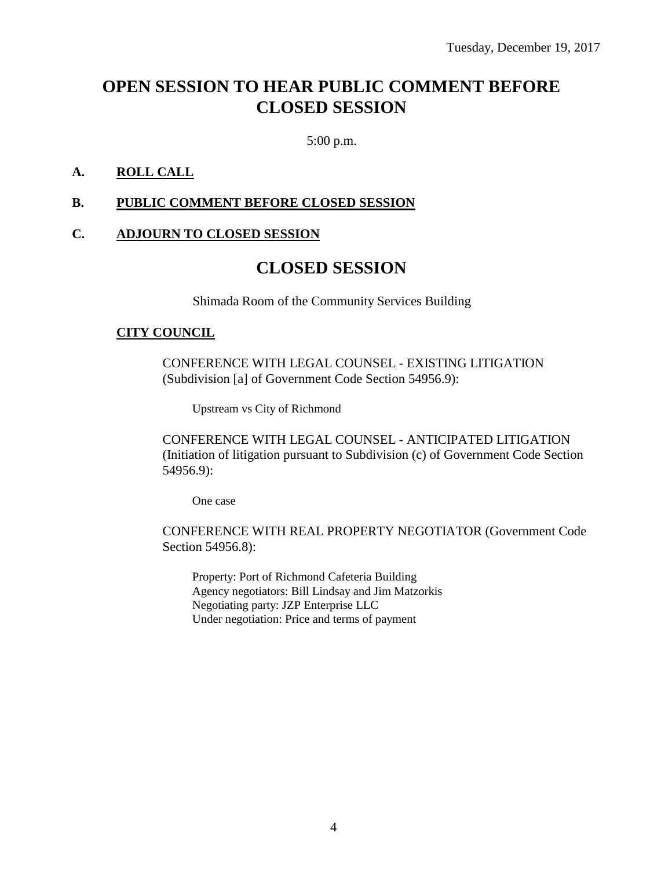## **OPEN SESSION TO HEAR PUBLIC COMMENT BEFORE CLOSED SESSION**

5:00 p.m.

### **A. ROLL CALL**

#### **B. PUBLIC COMMENT BEFORE CLOSED SESSION**

#### **C. ADJOURN TO CLOSED SESSION**

## **CLOSED SESSION**

Shimada Room of the Community Services Building

#### **CITY COUNCIL**

CONFERENCE WITH LEGAL COUNSEL - EXISTING LITIGATION (Subdivision [a] of Government Code Section 54956.9):

Upstream vs City of Richmond

CONFERENCE WITH LEGAL COUNSEL - ANTICIPATED LITIGATION (Initiation of litigation pursuant to Subdivision (c) of Government Code Section 54956.9):

One case

CONFERENCE WITH REAL PROPERTY NEGOTIATOR (Government Code Section 54956.8):

Property: Port of Richmond Cafeteria Building Agency negotiators: Bill Lindsay and Jim Matzorkis Negotiating party: JZP Enterprise LLC Under negotiation: Price and terms of payment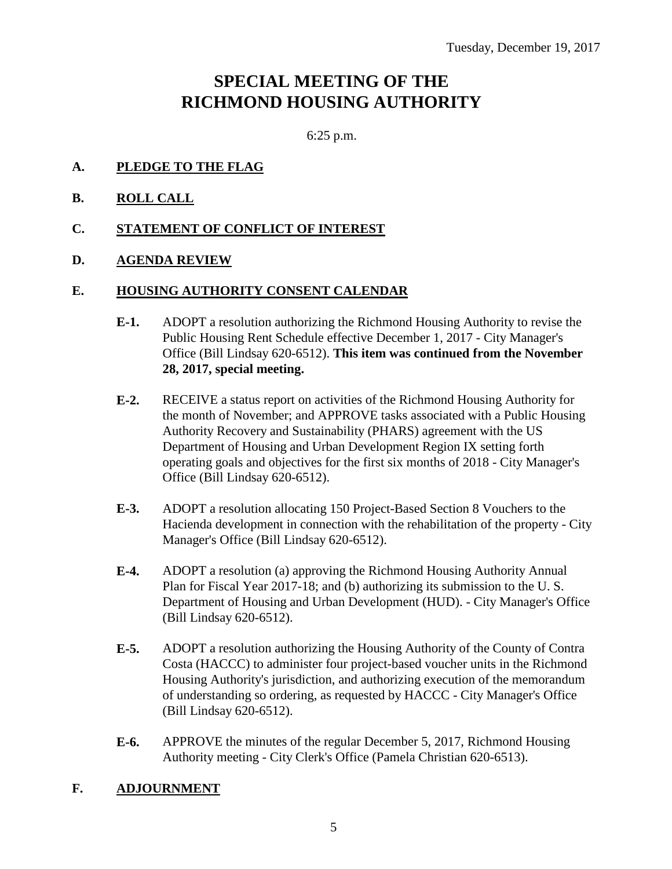## **SPECIAL MEETING OF THE RICHMOND HOUSING AUTHORITY**

6:25 p.m.

- **A. PLEDGE TO THE FLAG**
- **B. ROLL CALL**
- **C. STATEMENT OF CONFLICT OF INTEREST**
- **D. AGENDA REVIEW**

#### **E. HOUSING AUTHORITY CONSENT CALENDAR**

- **E-1.** ADOPT a resolution authorizing the Richmond Housing Authority to revise the Public Housing Rent Schedule effective December 1, 2017 - City Manager's Office (Bill Lindsay 620-6512). **This item was continued from the November 28, 2017, special meeting.**
- **E-2.** RECEIVE a status report on activities of the Richmond Housing Authority for the month of November; and APPROVE tasks associated with a Public Housing Authority Recovery and Sustainability (PHARS) agreement with the US Department of Housing and Urban Development Region IX setting forth operating goals and objectives for the first six months of 2018 - City Manager's Office (Bill Lindsay 620-6512).
- **E-3.** ADOPT a resolution allocating 150 Project-Based Section 8 Vouchers to the Hacienda development in connection with the rehabilitation of the property - City Manager's Office (Bill Lindsay 620-6512).
- **E-4.** ADOPT a resolution (a) approving the Richmond Housing Authority Annual Plan for Fiscal Year 2017-18; and (b) authorizing its submission to the U. S. Department of Housing and Urban Development (HUD). - City Manager's Office (Bill Lindsay 620-6512).
- **E-5.** ADOPT a resolution authorizing the Housing Authority of the County of Contra Costa (HACCC) to administer four project-based voucher units in the Richmond Housing Authority's jurisdiction, and authorizing execution of the memorandum of understanding so ordering, as requested by HACCC - City Manager's Office (Bill Lindsay 620-6512).
- **E-6.** APPROVE the minutes of the regular December 5, 2017, Richmond Housing Authority meeting - City Clerk's Office (Pamela Christian 620-6513).

#### **F. ADJOURNMENT**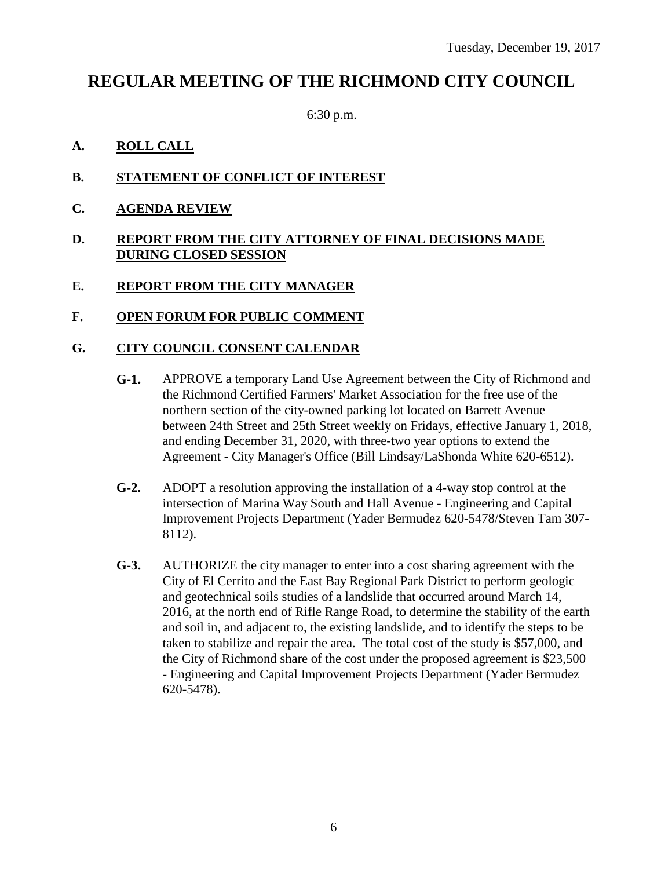## **REGULAR MEETING OF THE RICHMOND CITY COUNCIL**

6:30 p.m.

- **A. ROLL CALL**
- **B. STATEMENT OF CONFLICT OF INTEREST**
- **C. AGENDA REVIEW**

#### **D. REPORT FROM THE CITY ATTORNEY OF FINAL DECISIONS MADE DURING CLOSED SESSION**

### **E. REPORT FROM THE CITY MANAGER**

**F. OPEN FORUM FOR PUBLIC COMMENT**

### **G. CITY COUNCIL CONSENT CALENDAR**

- **G-1.** APPROVE a temporary Land Use Agreement between the City of Richmond and the Richmond Certified Farmers' Market Association for the free use of the northern section of the city-owned parking lot located on Barrett Avenue between 24th Street and 25th Street weekly on Fridays, effective January 1, 2018, and ending December 31, 2020, with three-two year options to extend the Agreement - City Manager's Office (Bill Lindsay/LaShonda White 620-6512).
- **G-2.** ADOPT a resolution approving the installation of a 4-way stop control at the intersection of Marina Way South and Hall Avenue - Engineering and Capital Improvement Projects Department (Yader Bermudez 620-5478/Steven Tam 307- 8112).
- **G-3.** AUTHORIZE the city manager to enter into a cost sharing agreement with the City of El Cerrito and the East Bay Regional Park District to perform geologic and geotechnical soils studies of a landslide that occurred around March 14, 2016, at the north end of Rifle Range Road, to determine the stability of the earth and soil in, and adjacent to, the existing landslide, and to identify the steps to be taken to stabilize and repair the area. The total cost of the study is \$57,000, and the City of Richmond share of the cost under the proposed agreement is \$23,500 - Engineering and Capital Improvement Projects Department (Yader Bermudez 620-5478).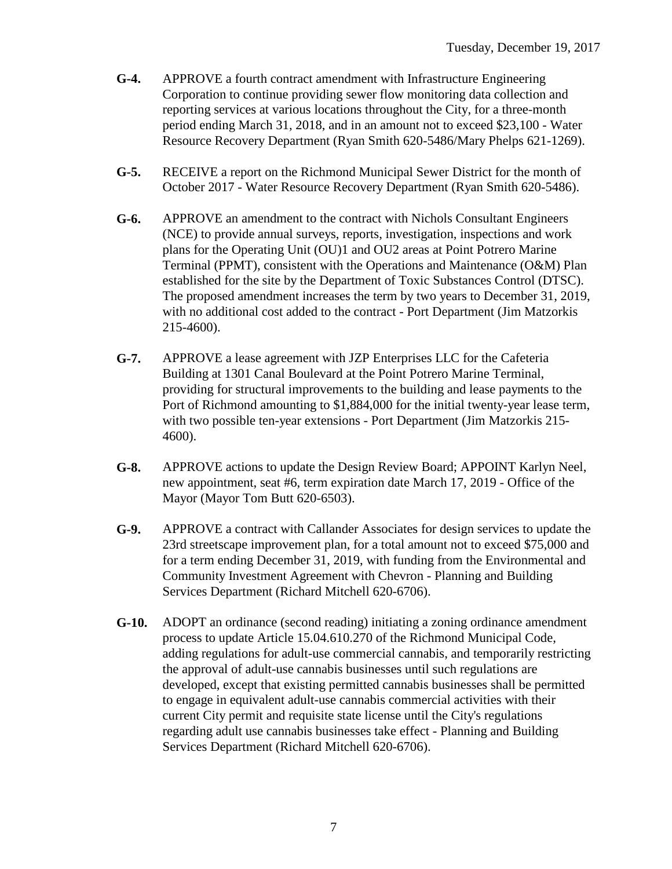- **G-4.** APPROVE a fourth contract amendment with Infrastructure Engineering Corporation to continue providing sewer flow monitoring data collection and reporting services at various locations throughout the City, for a three-month period ending March 31, 2018, and in an amount not to exceed \$23,100 - Water Resource Recovery Department (Ryan Smith 620-5486/Mary Phelps 621-1269).
- **G-5.** RECEIVE a report on the Richmond Municipal Sewer District for the month of October 2017 - Water Resource Recovery Department (Ryan Smith 620-5486).
- **G-6.** APPROVE an amendment to the contract with Nichols Consultant Engineers (NCE) to provide annual surveys, reports, investigation, inspections and work plans for the Operating Unit (OU)1 and OU2 areas at Point Potrero Marine Terminal (PPMT), consistent with the Operations and Maintenance (O&M) Plan established for the site by the Department of Toxic Substances Control (DTSC). The proposed amendment increases the term by two years to December 31, 2019, with no additional cost added to the contract - Port Department (Jim Matzorkis 215-4600).
- **G-7.** APPROVE a lease agreement with JZP Enterprises LLC for the Cafeteria Building at 1301 Canal Boulevard at the Point Potrero Marine Terminal, providing for structural improvements to the building and lease payments to the Port of Richmond amounting to \$1,884,000 for the initial twenty-year lease term, with two possible ten-year extensions - Port Department (Jim Matzorkis 215- 4600).
- **G-8.** APPROVE actions to update the Design Review Board; APPOINT Karlyn Neel, new appointment, seat #6, term expiration date March 17, 2019 - Office of the Mayor (Mayor Tom Butt 620-6503).
- **G-9.** APPROVE a contract with Callander Associates for design services to update the 23rd streetscape improvement plan, for a total amount not to exceed \$75,000 and for a term ending December 31, 2019, with funding from the Environmental and Community Investment Agreement with Chevron - Planning and Building Services Department (Richard Mitchell 620-6706).
- **G-10.** ADOPT an ordinance (second reading) initiating a zoning ordinance amendment process to update Article 15.04.610.270 of the Richmond Municipal Code, adding regulations for adult-use commercial cannabis, and temporarily restricting the approval of adult-use cannabis businesses until such regulations are developed, except that existing permitted cannabis businesses shall be permitted to engage in equivalent adult-use cannabis commercial activities with their current City permit and requisite state license until the City's regulations regarding adult use cannabis businesses take effect - Planning and Building Services Department (Richard Mitchell 620-6706).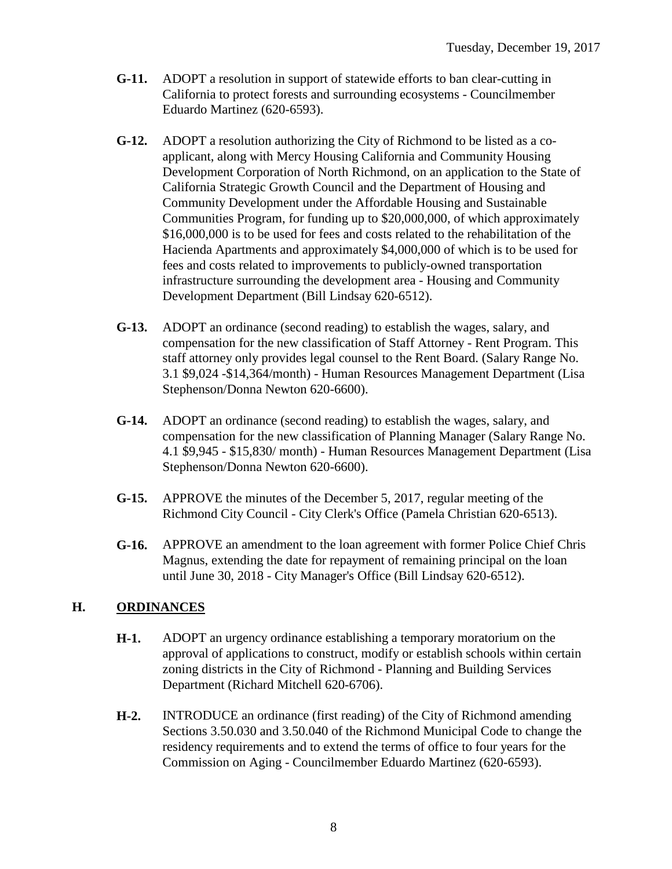- **G-11.** ADOPT a resolution in support of statewide efforts to ban clear-cutting in California to protect forests and surrounding ecosystems - Councilmember Eduardo Martinez (620-6593).
- **G-12.** ADOPT a resolution authorizing the City of Richmond to be listed as a coapplicant, along with Mercy Housing California and Community Housing Development Corporation of North Richmond, on an application to the State of California Strategic Growth Council and the Department of Housing and Community Development under the Affordable Housing and Sustainable Communities Program, for funding up to \$20,000,000, of which approximately \$16,000,000 is to be used for fees and costs related to the rehabilitation of the Hacienda Apartments and approximately \$4,000,000 of which is to be used for fees and costs related to improvements to publicly-owned transportation infrastructure surrounding the development area - Housing and Community Development Department (Bill Lindsay 620-6512).
- **G-13.** ADOPT an ordinance (second reading) to establish the wages, salary, and compensation for the new classification of Staff Attorney - Rent Program. This staff attorney only provides legal counsel to the Rent Board. (Salary Range No. 3.1 \$9,024 -\$14,364/month) - Human Resources Management Department (Lisa Stephenson/Donna Newton 620-6600).
- **G-14.** ADOPT an ordinance (second reading) to establish the wages, salary, and compensation for the new classification of Planning Manager (Salary Range No. 4.1 \$9,945 - \$15,830/ month) - Human Resources Management Department (Lisa Stephenson/Donna Newton 620-6600).
- **G-15.** APPROVE the minutes of the December 5, 2017, regular meeting of the Richmond City Council - City Clerk's Office (Pamela Christian 620-6513).
- **G-16.** APPROVE an amendment to the loan agreement with former Police Chief Chris Magnus, extending the date for repayment of remaining principal on the loan until June 30, 2018 - City Manager's Office (Bill Lindsay 620-6512).

## **H. ORDINANCES**

- **H-1.** ADOPT an urgency ordinance establishing a temporary moratorium on the approval of applications to construct, modify or establish schools within certain zoning districts in the City of Richmond - Planning and Building Services Department (Richard Mitchell 620-6706).
- **H-2.** INTRODUCE an ordinance (first reading) of the City of Richmond amending Sections 3.50.030 and 3.50.040 of the Richmond Municipal Code to change the residency requirements and to extend the terms of office to four years for the Commission on Aging - Councilmember Eduardo Martinez (620-6593).